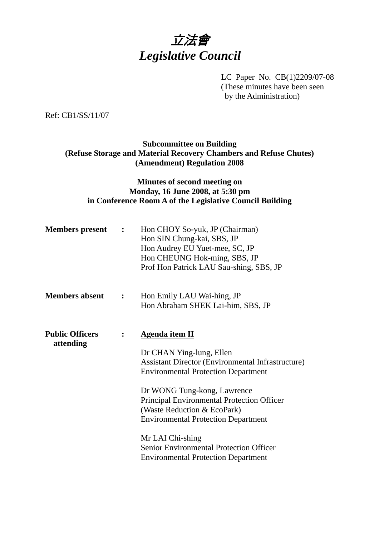

LC Paper No. CB(1)2209/07-08 (These minutes have been seen by the Administration)

Ref: CB1/SS/11/07

# **Subcommittee on Building (Refuse Storage and Material Recovery Chambers and Refuse Chutes) (Amendment) Regulation 2008**

# **Minutes of second meeting on Monday, 16 June 2008, at 5:30 pm in Conference Room A of the Legislative Council Building**

| <b>Members</b> present              | $\mathbf{r}$   | Hon CHOY So-yuk, JP (Chairman)<br>Hon SIN Chung-kai, SBS, JP<br>Hon Audrey EU Yuet-mee, SC, JP<br>Hon CHEUNG Hok-ming, SBS, JP<br>Prof Hon Patrick LAU Sau-shing, SBS, JP                                                                                                                                                                                                                                                   |
|-------------------------------------|----------------|-----------------------------------------------------------------------------------------------------------------------------------------------------------------------------------------------------------------------------------------------------------------------------------------------------------------------------------------------------------------------------------------------------------------------------|
| <b>Members absent</b>               | $\ddot{\cdot}$ | Hon Emily LAU Wai-hing, JP<br>Hon Abraham SHEK Lai-him, SBS, JP                                                                                                                                                                                                                                                                                                                                                             |
| <b>Public Officers</b><br>attending | $\ddot{\cdot}$ | <b>Agenda item II</b><br>Dr CHAN Ying-lung, Ellen<br>Assistant Director (Environmental Infrastructure)<br><b>Environmental Protection Department</b><br>Dr WONG Tung-kong, Lawrence<br>Principal Environmental Protection Officer<br>(Waste Reduction & EcoPark)<br><b>Environmental Protection Department</b><br>Mr LAI Chi-shing<br>Senior Environmental Protection Officer<br><b>Environmental Protection Department</b> |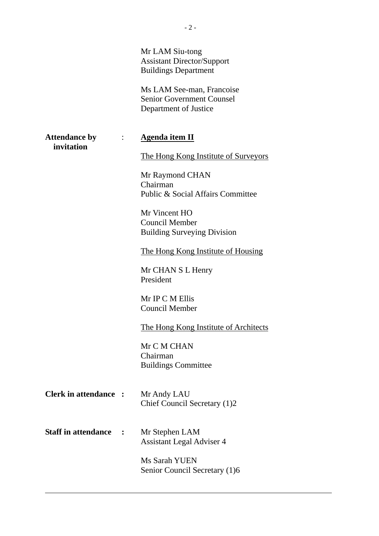|                                    |                | Mr LAM Siu-tong<br><b>Assistant Director/Support</b><br><b>Buildings Department</b><br>Ms LAM See-man, Francoise<br><b>Senior Government Counsel</b><br>Department of Justice |
|------------------------------------|----------------|-------------------------------------------------------------------------------------------------------------------------------------------------------------------------------|
| <b>Attendance by</b><br>invitation | $\ddot{\cdot}$ | <b>Agenda item II</b>                                                                                                                                                         |
|                                    |                | The Hong Kong Institute of Surveyors                                                                                                                                          |
|                                    |                | Mr Raymond CHAN<br>Chairman<br>Public & Social Affairs Committee                                                                                                              |
|                                    |                | Mr Vincent HO<br><b>Council Member</b><br><b>Building Surveying Division</b>                                                                                                  |
|                                    |                | The Hong Kong Institute of Housing                                                                                                                                            |
|                                    |                | Mr CHAN S L Henry<br>President                                                                                                                                                |
|                                    |                | Mr IP C M Ellis<br><b>Council Member</b>                                                                                                                                      |
|                                    |                | The Hong Kong Institute of Architects                                                                                                                                         |
|                                    |                | Mr C M CHAN<br>Chairman<br><b>Buildings Committee</b>                                                                                                                         |
| <b>Clerk in attendance :</b>       |                | Mr Andy LAU<br>Chief Council Secretary (1)2                                                                                                                                   |
| <b>Staff in attendance</b>         |                | Mr Stephen LAM<br><b>Assistant Legal Adviser 4</b>                                                                                                                            |
|                                    |                | Ms Sarah YUEN<br>Senior Council Secretary (1)6                                                                                                                                |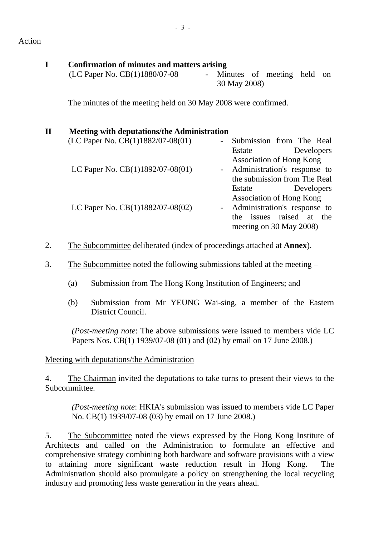#### Action

# **I Confirmation of minutes and matters arising**

 $(LC$  Paper No.  $CB(1)1880/07-08$  - Minutes of meeting held on 30 May 2008)

The minutes of the meeting held on 30 May 2008 were confirmed.

# **II Meeting with deputations/the Administration**   $(LC$  Paper No.  $CB(1)1882/07-08(01)$  - Submission from The Real Estate Developers Association of Hong Kong LC Paper No. CB(1)1892/07-08(01) - Administration's response to the submission from The Real Estate Developers Association of Hong Kong LC Paper No.  $CB(1)1882/07-08(02)$  - Administration's response to the issues raised at the meeting on 30 May 2008)

- 2. The Subcommittee deliberated (index of proceedings attached at **Annex**).
- 3. The Subcommittee noted the following submissions tabled at the meeting
	- (a) Submission from The Hong Kong Institution of Engineers; and
	- (b) Submission from Mr YEUNG Wai-sing, a member of the Eastern District Council.

*(Post-meeting note*: The above submissions were issued to members vide LC Papers Nos. CB(1) 1939/07-08 (01) and (02) by email on 17 June 2008.)

Meeting with deputations/the Administration

4. The Chairman invited the deputations to take turns to present their views to the Subcommittee.

*(Post-meeting note*: HKIA's submission was issued to members vide LC Paper No. CB(1) 1939/07-08 (03) by email on 17 June 2008.)

5. The Subcommittee noted the views expressed by the Hong Kong Institute of Architects and called on the Administration to formulate an effective and comprehensive strategy combining both hardware and software provisions with a view to attaining more significant waste reduction result in Hong Kong. The Administration should also promulgate a policy on strengthening the local recycling industry and promoting less waste generation in the years ahead.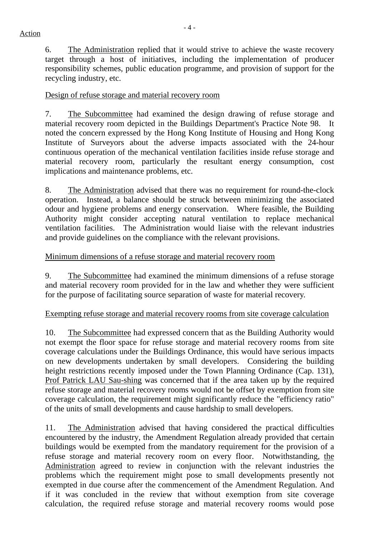6. The Administration replied that it would strive to achieve the waste recovery target through a host of initiatives, including the implementation of producer responsibility schemes, public education programme, and provision of support for the recycling industry, etc.

#### Design of refuse storage and material recovery room

7. The Subcommittee had examined the design drawing of refuse storage and material recovery room depicted in the Buildings Department's Practice Note 98. It noted the concern expressed by the Hong Kong Institute of Housing and Hong Kong Institute of Surveyors about the adverse impacts associated with the 24-hour continuous operation of the mechanical ventilation facilities inside refuse storage and material recovery room, particularly the resultant energy consumption, cost implications and maintenance problems, etc.

8. The Administration advised that there was no requirement for round-the-clock operation. Instead, a balance should be struck between minimizing the associated odour and hygiene problems and energy conservation. Where feasible, the Building Authority might consider accepting natural ventilation to replace mechanical ventilation facilities. The Administration would liaise with the relevant industries and provide guidelines on the compliance with the relevant provisions.

# Minimum dimensions of a refuse storage and material recovery room

9. The Subcommittee had examined the minimum dimensions of a refuse storage and material recovery room provided for in the law and whether they were sufficient for the purpose of facilitating source separation of waste for material recovery.

# Exempting refuse storage and material recovery rooms from site coverage calculation

10. The Subcommittee had expressed concern that as the Building Authority would not exempt the floor space for refuse storage and material recovery rooms from site coverage calculations under the Buildings Ordinance, this would have serious impacts on new developments undertaken by small developers. Considering the building height restrictions recently imposed under the Town Planning Ordinance (Cap. 131), Prof Patrick LAU Sau-shing was concerned that if the area taken up by the required refuse storage and material recovery rooms would not be offset by exemption from site coverage calculation, the requirement might significantly reduce the "efficiency ratio" of the units of small developments and cause hardship to small developers.

11. The Administration advised that having considered the practical difficulties encountered by the industry, the Amendment Regulation already provided that certain buildings would be exempted from the mandatory requirement for the provision of a refuse storage and material recovery room on every floor. Notwithstanding, the Administration agreed to review in conjunction with the relevant industries the problems which the requirement might pose to small developments presently not exempted in due course after the commencement of the Amendment Regulation. And if it was concluded in the review that without exemption from site coverage calculation, the required refuse storage and material recovery rooms would pose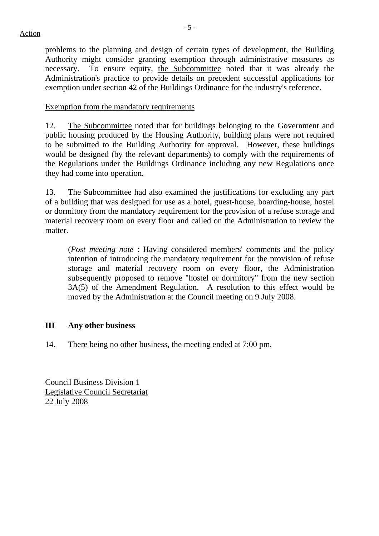problems to the planning and design of certain types of development, the Building Authority might consider granting exemption through administrative measures as necessary. To ensure equity, the Subcommittee noted that it was already the Administration's practice to provide details on precedent successful applications for exemption under section 42 of the Buildings Ordinance for the industry's reference.

#### Exemption from the mandatory requirements

12. The Subcommittee noted that for buildings belonging to the Government and public housing produced by the Housing Authority, building plans were not required to be submitted to the Building Authority for approval. However, these buildings would be designed (by the relevant departments) to comply with the requirements of the Regulations under the Buildings Ordinance including any new Regulations once they had come into operation.

13. The Subcommittee had also examined the justifications for excluding any part of a building that was designed for use as a hotel, guest-house, boarding-house, hostel or dormitory from the mandatory requirement for the provision of a refuse storage and material recovery room on every floor and called on the Administration to review the matter.

(*Post meeting note* : Having considered members' comments and the policy intention of introducing the mandatory requirement for the provision of refuse storage and material recovery room on every floor, the Administration subsequently proposed to remove "hostel or dormitory" from the new section 3A(5) of the Amendment Regulation. A resolution to this effect would be moved by the Administration at the Council meeting on 9 July 2008.

# **III Any other business**

14. There being no other business, the meeting ended at 7:00 pm.

Council Business Division 1 Legislative Council Secretariat 22 July 2008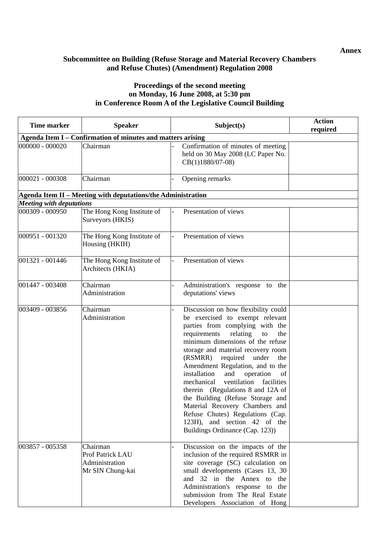#### **Subcommittee on Building (Refuse Storage and Material Recovery Chambers and Refuse Chutes) (Amendment) Regulation 2008**

#### **Proceedings of the second meeting on Monday, 16 June 2008, at 5:30 pm in Conference Room A of the Legislative Council Building**

| Time marker                                                 | <b>Speaker</b>                                                     | Subject(s)                                                                                                                                                                                                                                                                                                                                                                                                                                                                                                                                                                                                     | <b>Action</b><br>required |  |  |  |
|-------------------------------------------------------------|--------------------------------------------------------------------|----------------------------------------------------------------------------------------------------------------------------------------------------------------------------------------------------------------------------------------------------------------------------------------------------------------------------------------------------------------------------------------------------------------------------------------------------------------------------------------------------------------------------------------------------------------------------------------------------------------|---------------------------|--|--|--|
| Agenda Item I - Confirmation of minutes and matters arising |                                                                    |                                                                                                                                                                                                                                                                                                                                                                                                                                                                                                                                                                                                                |                           |  |  |  |
| $000000 - 000020$                                           | Chairman                                                           | Confirmation of minutes of meeting<br>held on 30 May 2008 (LC Paper No.<br>$CB(1)1880/07-08$                                                                                                                                                                                                                                                                                                                                                                                                                                                                                                                   |                           |  |  |  |
| 000021 - 000308                                             | Chairman                                                           | Opening remarks                                                                                                                                                                                                                                                                                                                                                                                                                                                                                                                                                                                                |                           |  |  |  |
|                                                             | Agenda Item II - Meeting with deputations/the Administration       |                                                                                                                                                                                                                                                                                                                                                                                                                                                                                                                                                                                                                |                           |  |  |  |
| <b>Meeting with deputations</b>                             |                                                                    |                                                                                                                                                                                                                                                                                                                                                                                                                                                                                                                                                                                                                |                           |  |  |  |
| 000309 - 000950                                             | The Hong Kong Institute of<br>Surveyors (HKIS)                     | Presentation of views                                                                                                                                                                                                                                                                                                                                                                                                                                                                                                                                                                                          |                           |  |  |  |
| 000951 - 001320                                             | The Hong Kong Institute of<br>Housing (HKIH)                       | Presentation of views                                                                                                                                                                                                                                                                                                                                                                                                                                                                                                                                                                                          |                           |  |  |  |
| 001321 - 001446                                             | The Hong Kong Institute of<br>Architects (HKIA)                    | Presentation of views                                                                                                                                                                                                                                                                                                                                                                                                                                                                                                                                                                                          |                           |  |  |  |
| 001447 - 003408                                             | Chairman<br>Administration                                         | Administration's response to the<br>deputations' views                                                                                                                                                                                                                                                                                                                                                                                                                                                                                                                                                         |                           |  |  |  |
| 003409 - 003856                                             | Chairman<br>Administration                                         | Discussion on how flexibility could<br>be exercised to exempt relevant<br>parties from complying with the<br>requirements<br>relating<br>the<br>to<br>minimum dimensions of the refuse<br>storage and material recovery room<br>(RSMRR)<br>required<br>under<br>the<br>Amendment Regulation, and to the<br>installation<br>and<br>operation<br>of<br>facilities<br>mechanical<br>ventilation<br>therein (Regulations 8 and 12A of<br>the Building (Refuse Storage and<br>Material Recovery Chambers and<br>Refuse Chutes) Regulations (Cap.<br>123H), and section 42 of the<br>Buildings Ordinance (Cap. 123)) |                           |  |  |  |
| 003857 - 005358                                             | Chairman<br>Prof Patrick LAU<br>Administration<br>Mr SIN Chung-kai | Discussion on the impacts of the<br>inclusion of the required RSMRR in<br>site coverage (SC) calculation on<br>small developments (Cases 13, 30<br>and 32 in the Annex to<br>the<br>Administration's response to the<br>submission from The Real Estate<br>Developers Association of Hong                                                                                                                                                                                                                                                                                                                      |                           |  |  |  |

**Annex**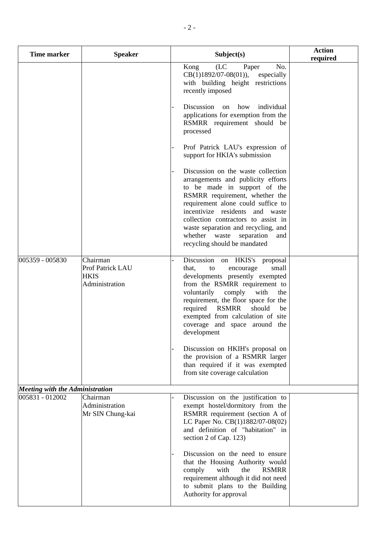| <b>Time marker</b>              | <b>Speaker</b>                                                | Subject(s)                                                                                                                                                                                                                                                                                                                                                              | <b>Action</b><br>required |
|---------------------------------|---------------------------------------------------------------|-------------------------------------------------------------------------------------------------------------------------------------------------------------------------------------------------------------------------------------------------------------------------------------------------------------------------------------------------------------------------|---------------------------|
|                                 |                                                               | No.<br>(LC)<br>Kong<br>Paper<br>$CB(1)1892/07-08(01)$ , especially<br>with building height restrictions<br>recently imposed                                                                                                                                                                                                                                             |                           |
|                                 |                                                               | Discussion<br>how<br>individual<br>on<br>applications for exemption from the<br>RSMRR requirement should be<br>processed                                                                                                                                                                                                                                                |                           |
|                                 |                                                               | Prof Patrick LAU's expression of<br>support for HKIA's submission                                                                                                                                                                                                                                                                                                       |                           |
|                                 |                                                               | Discussion on the waste collection<br>arrangements and publicity efforts<br>to be made in support of the<br>RSMRR requirement, whether the<br>requirement alone could suffice to<br>incentivize residents and waste<br>collection contractors to assist in<br>waste separation and recycling, and<br>whether waste<br>separation<br>and<br>recycling should be mandated |                           |
| 005359 - 005830                 | Chairman<br>Prof Patrick LAU<br><b>HKIS</b><br>Administration | Discussion<br>on HKIS's<br>proposal<br>that,<br>small<br>to<br>encourage<br>developments presently exempted<br>from the RSMRR requirement to<br>voluntarily<br>comply<br>with<br>the<br>requirement, the floor space for the<br>required RSMRR<br>should<br>be<br>exempted from calculation of site<br>coverage and space around the<br>development                     |                           |
|                                 |                                                               | Discussion on HKIH's proposal on<br>the provision of a RSMRR larger<br>than required if it was exempted<br>from site coverage calculation                                                                                                                                                                                                                               |                           |
| Meeting with the Administration |                                                               |                                                                                                                                                                                                                                                                                                                                                                         |                           |
| 005831 - 012002                 | Chairman<br>Administration<br>Mr SIN Chung-kai                | Discussion on the justification to<br>exempt hostel/dormitory from the<br>RSMRR requirement (section A of<br>LC Paper No. CB(1)1882/07-08(02)<br>and definition of "habitation" in<br>section 2 of Cap. 123)                                                                                                                                                            |                           |
|                                 |                                                               | Discussion on the need to ensure<br>that the Housing Authority would<br>comply<br>with<br>the<br><b>RSMRR</b><br>requirement although it did not need<br>to submit plans to the Building<br>Authority for approval                                                                                                                                                      |                           |